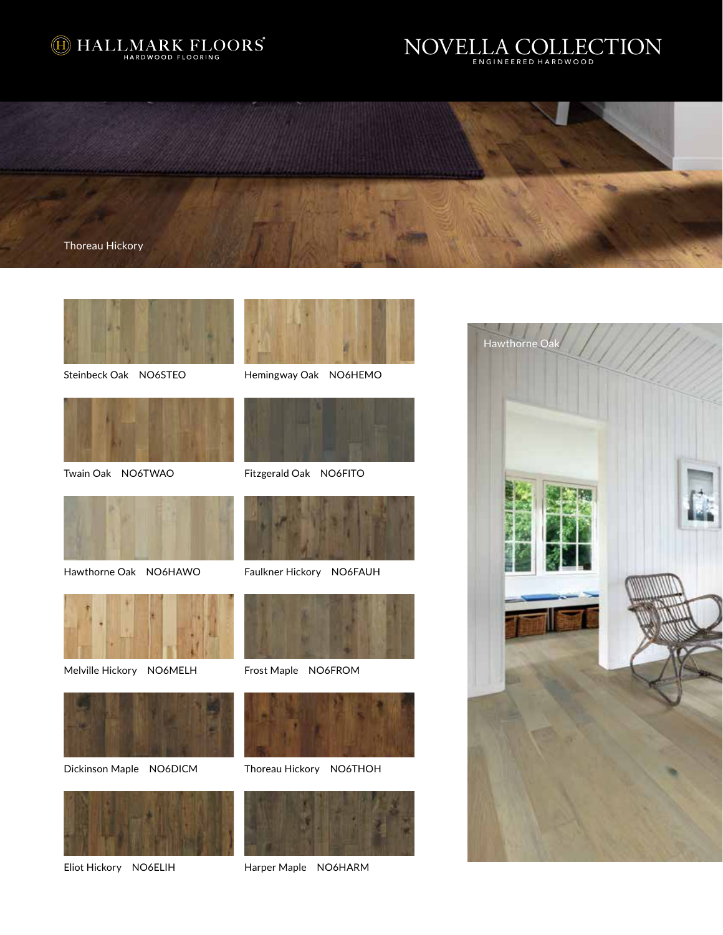







Steinbeck Oak NO6STEO



Twain Oak NO6TWAO



Hemingway Oak NO6HEMO



Fitzgerald Oak NO6FITO





Melville Hickory NO6MELH Frost Maple NO6FROM



Dickinson Maple NO6DICM



Eliot Hickory NO6ELIH



Hawthorne Oak NO6HAWO Faulkner Hickory NO6FAUH





Thoreau Hickory NO6THOH



Harper Maple NO6HARM

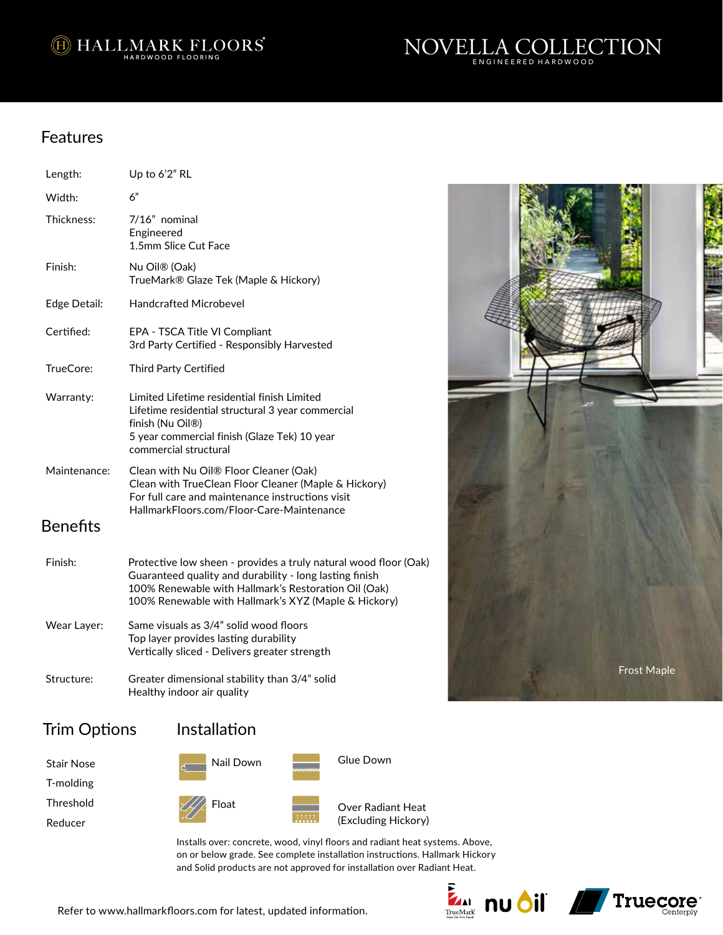<sup>1</sup> HALLMARK FLOORS



# Features

| Length:         | Up to 6'2" RL                                                                                                                                                                                                                               |
|-----------------|---------------------------------------------------------------------------------------------------------------------------------------------------------------------------------------------------------------------------------------------|
| Width:          | 6"                                                                                                                                                                                                                                          |
| Thickness:      | 7/16" nominal<br>Engineered<br>1.5mm Slice Cut Face                                                                                                                                                                                         |
| Finish:         | Nu Oil® (Oak)<br>TrueMark® Glaze Tek (Maple & Hickory)                                                                                                                                                                                      |
| Edge Detail:    | Handcrafted Microbevel                                                                                                                                                                                                                      |
| Certified:      | EPA - TSCA Title VI Compliant<br>3rd Party Certified - Responsibly Harvested                                                                                                                                                                |
| TrueCore:       | Third Party Certified                                                                                                                                                                                                                       |
| Warranty:       | Limited Lifetime residential finish Limited<br>Lifetime residential structural 3 year commercial<br>finish (Nu Oil <sup>®</sup> )<br>5 year commercial finish (Glaze Tek) 10 year<br>commercial structural                                  |
| Maintenance:    | Clean with Nu Oil® Floor Cleaner (Oak)<br>Clean with TrueClean Floor Cleaner (Maple & Hickory)<br>For full care and maintenance instructions visit<br>HallmarkFloors.com/Floor-Care-Maintenance                                             |
| <b>Benefits</b> |                                                                                                                                                                                                                                             |
| Finish:         | Protective low sheen - provides a truly natural wood floor (Oak)<br>Guaranteed quality and durability - long lasting finish<br>100% Renewable with Hallmark's Restoration Oil (Oak)<br>100% Renewable with Hallmark's XYZ (Maple & Hickory) |
| Wear Layer:     | Same visuals as 3/4" solid wood floors<br>Top layer provides lasting durability<br>Vertically sliced - Delivers greater strength                                                                                                            |
| Structure:      | Greater dimensional stability than 3/4" solid<br>Healthy indoor air quality                                                                                                                                                                 |

# Trim Options

| Stair Nose |
|------------|
| T-molding  |

Threshold

Reducer







Over Radiant Heat (Excluding Hickory)

Glue Down

Installs over: concrete, wood, vinyl floors and radiant heat systems. Above, on or below grade. See complete installation instructions. Hallmark Hickory and Solid products are not approved for installation over Radiant Heat.





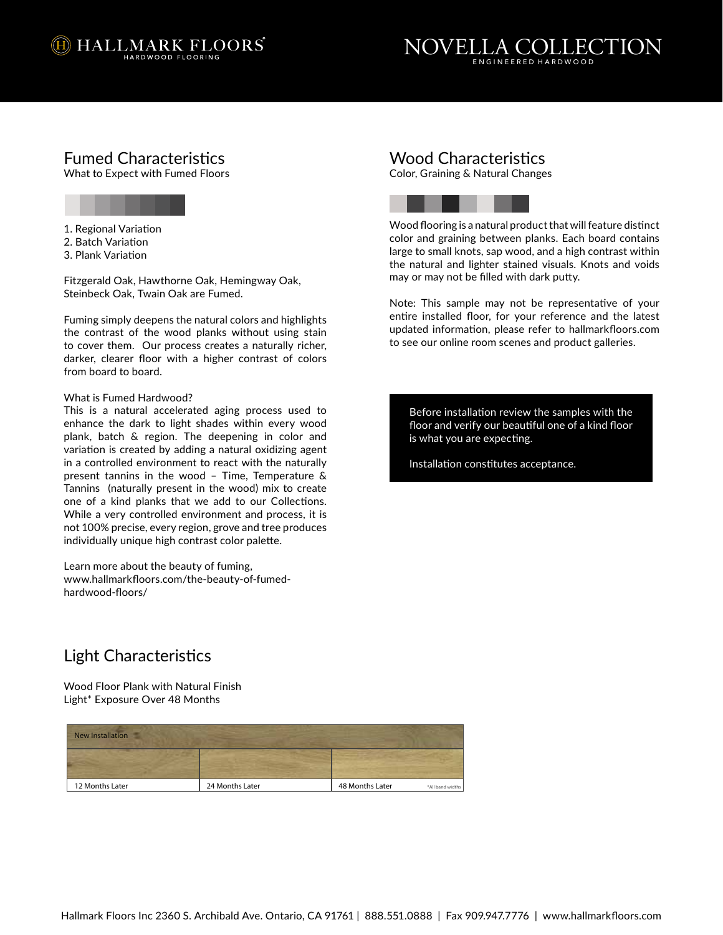



# Fumed Characteristics

What to Expect with Fumed Floors

- 1. Regional Variation
- 2. Batch Variation
- 3. Plank Variation

Fitzgerald Oak, Hawthorne Oak, Hemingway Oak, Steinbeck Oak, Twain Oak are Fumed.

Fuming simply deepens the natural colors and highlights the contrast of the wood planks without using stain to cover them. Our process creates a naturally richer, darker, clearer floor with a higher contrast of colors from board to board.

### What is Fumed Hardwood?

This is a natural accelerated aging process used to enhance the dark to light shades within every wood plank, batch & region. The deepening in color and variation is created by adding a natural oxidizing agent in a controlled environment to react with the naturally present tannins in the wood – Time, Temperature & Tannins (naturally present in the wood) mix to create one of a kind planks that we add to our Collections. While a very controlled environment and process, it is not 100% precise, every region, grove and tree produces individually unique high contrast color palette.

Learn more about the beauty of fuming, www.hallmarkfloors.com/the-beauty-of-fumedhardwood-floors/

## Wood Characteristics

Color, Graining & Natural Changes



Wood flooring is a natural product that will feature distinct color and graining between planks. Each board contains large to small knots, sap wood, and a high contrast within the natural and lighter stained visuals. Knots and voids may or may not be filled with dark putty.

Note: This sample may not be representative of your entire installed floor, for your reference and the latest updated information, please refer to hallmarkfloors.com to see our online room scenes and product galleries.

Before installation review the samples with the floor and verify our beautiful one of a kind floor is what you are expecting.

Installation constitutes acceptance.

# Light Characteristics

Light\* Exposure Over 48 Months Wood Floor Plank with Natural Finish

| <b>New Installation</b> |                 |                 |                  |
|-------------------------|-----------------|-----------------|------------------|
|                         |                 |                 |                  |
| 12 Months Later         | 24 Months Later | 48 Months Later | *All band widths |